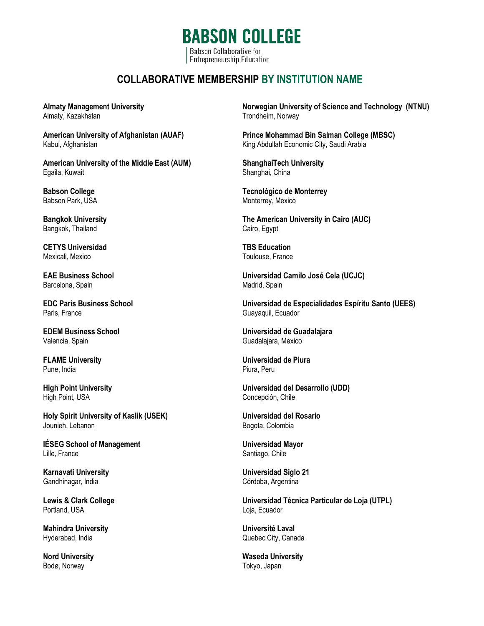**BABSON COLLEGE** Babson Collaborative for **Entrepreneurship Education** 

## **COLLABORATIVE MEMBERSHIP BY INSTITUTION NAME**

**Almaty Management University** Almaty, Kazakhstan

**American University of Afghanistan (AUAF)** Kabul, Afghanistan

**American University of the Middle East (AUM)** Egaila, Kuwait

**Babson College** Babson Park, USA

**Bangkok University** Bangkok, Thailand

**CETYS Universidad** Mexicali, Mexico

**EAE Business School** Barcelona, Spain

**EDC Paris Business School** Paris, France

**EDEM Business School** Valencia, Spain

**FLAME University** Pune, India

**High Point University** High Point, USA

**Holy Spirit University of Kaslik (USEK)** Jounieh, Lebanon

**IÉSEG School of Management** Lille, France

**Karnavati University** Gandhinagar, India

**Lewis & Clark College** Portland, USA

**Mahindra University** Hyderabad, India

**Nord University** Bodø, Norway

**Norwegian University of Science and Technology (NTNU)** Trondheim, Norway

**Prince Mohammad Bin Salman College (MBSC)** King Abdullah Economic City, Saudi Arabia

**ShanghaiTech University** Shanghai, China

**Tecnológico de Monterrey**  Monterrey, Mexico

**The American University in Cairo (AUC)** Cairo, Egypt

**TBS Education** Toulouse, France

**Universidad Camilo José Cela (UCJC)** Madrid, Spain

**Universidad de Especialidades Espíritu Santo (UEES)** Guayaquil, Ecuador

**Universidad de Guadalajara**  Guadalajara, Mexico

**Universidad de Piura** Piura, Peru

**Universidad del Desarrollo (UDD)** Concepción, Chile

**Universidad del Rosario** Bogota, Colombia

**Universidad Mayor** Santiago, Chile

**Universidad Siglo 21** Córdoba, Argentina

**Universidad Técnica Particular de Loja (UTPL)** Loja, Ecuador

**Université Laval** Quebec City, Canada

**Waseda University** Tokyo, Japan